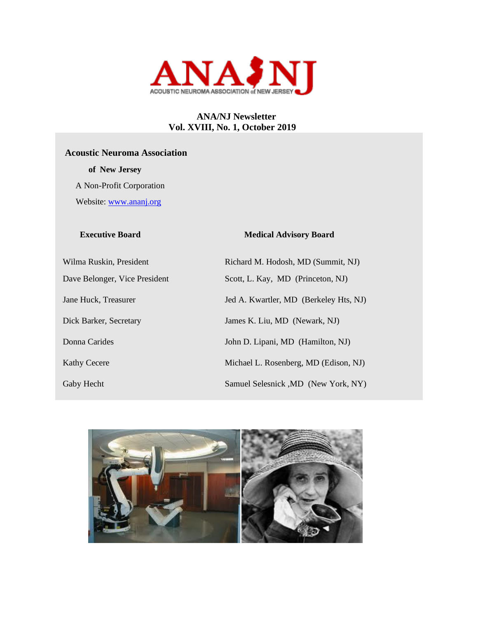

# **ANA/NJ Newsletter Vol. XVIII, No. 1, October 2019**

# **Acoustic Neuroma Association**

 **of New Jersey** 

A Non-Profit Corporation

Website: [www.ananj.org](http://www.ananj.org/)

#### **Executive Board Medical Advisory Board**

Wilma Ruskin, President Richard M. Hodosh, MD (Summit, NJ) Dave Belonger, Vice President Scott, L. Kay, MD (Princeton, NJ) Dick Barker, Secretary James K. Liu, MD (Newark, NJ) Donna Carides John D. Lipani, MD (Hamilton, NJ)

Jane Huck, Treasurer Jed A. Kwartler, MD (Berkeley Hts, NJ) Kathy Cecere Michael L. Rosenberg, MD (Edison, NJ) Gaby Hecht Samuel Selesnick ,MD (New York, NY)

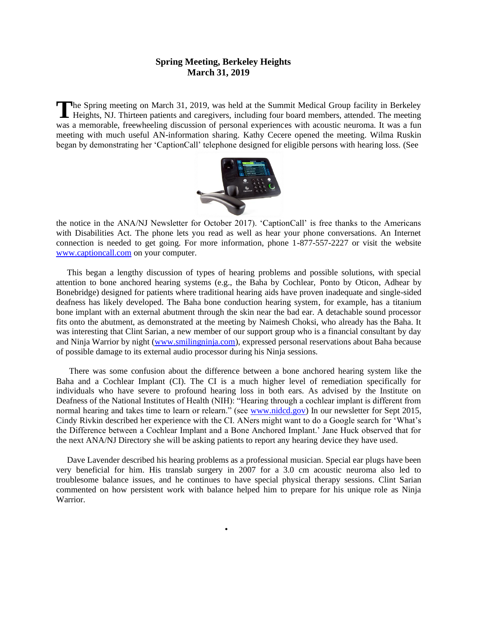### **Spring Meeting, Berkeley Heights March 31, 2019**

The Spring meeting on March 31, 2019, was held at the Summit Medical Group facility in Berkeley Heights, NJ. Thirteen patients and caregivers, including four board members, attended. The meeting Heights, NJ. Thirteen patients and caregivers, including four board members, attended. The meeting was a memorable, freewheeling discussion of personal experiences with acoustic neuroma. It was a fun meeting with much useful AN-information sharing. Kathy Cecere opened the meeting. Wilma Ruskin began by demonstrating her 'CaptionCall' telephone designed for eligible persons with hearing loss. (See



the notice in the ANA/NJ Newsletter for October 2017). 'CaptionCall' is free thanks to the Americans with Disabilities Act. The phone lets you read as well as hear your phone conversations. An Internet connection is needed to get going. For more information, phone 1-877-557-2227 or visit the website [www.captioncall.com](http://www.captioncall.com/) on your computer.

 This began a lengthy discussion of types of hearing problems and possible solutions, with special attention to bone anchored hearing systems (e.g., the Baha by Cochlear, Ponto by Oticon, Adhear by Bonebridge) designed for patients where traditional hearing aids have proven inadequate and single-sided deafness has likely developed. The Baha bone conduction hearing system, for example, has a titanium bone implant with an external abutment through the skin near the bad ear. A detachable sound processor fits onto the abutment, as demonstrated at the meeting by Naimesh Choksi, who already has the Baha. It was interesting that Clint Sarian, a new member of our support group who is a financial consultant by day and Ninja Warrior by night [\(www.smilingninja.com\)](http://www.smilingninja.com/), expressed personal reservations about Baha because of possible damage to its external audio processor during his Ninja sessions.

 There was some confusion about the difference between a bone anchored hearing system like the Baha and a Cochlear Implant (CI). The CI is a much higher level of remediation specifically for individuals who have severe to profound hearing loss in both ears. As advised by the Institute on Deafness of the National Institutes of Health (NIH): "Hearing through a cochlear implant is different from normal hearing and takes time to learn or relearn." (see [www.nidcd.gov\)](http://www.nidcd.gov/) In our newsletter for Sept 2015, Cindy Rivkin described her experience with the CI. ANers might want to do a Google search for 'What's the Difference between a Cochlear Implant and a Bone Anchored Implant.' Jane Huck observed that for the next ANA/NJ Directory she will be asking patients to report any hearing device they have used.

 Dave Lavender described his hearing problems as a professional musician. Special ear plugs have been very beneficial for him. His translab surgery in 2007 for a 3.0 cm acoustic neuroma also led to troublesome balance issues, and he continues to have special physical therapy sessions. Clint Sarian commented on how persistent work with balance helped him to prepare for his unique role as Ninja Warrior.

•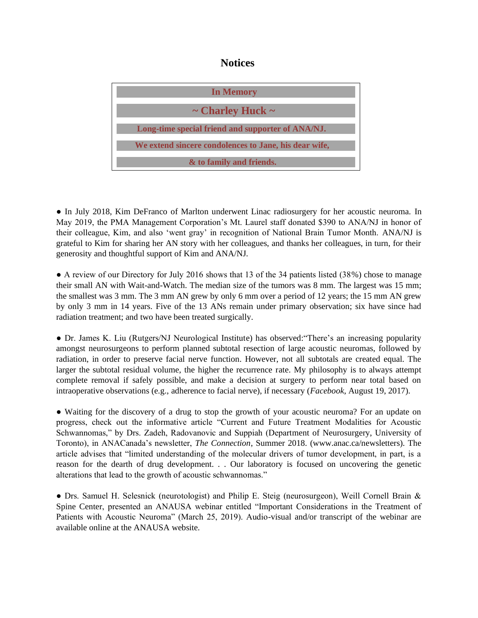# **Notices**



● In July 2018, Kim DeFranco of Marlton underwent Linac radiosurgery for her acoustic neuroma. In May 2019, the PMA Management Corporation's Mt. Laurel staff donated \$390 to ANA/NJ in honor of their colleague, Kim, and also 'went gray' in recognition of National Brain Tumor Month. ANA/NJ is grateful to Kim for sharing her AN story with her colleagues, and thanks her colleagues, in turn, for their generosity and thoughtful support of Kim and ANA/NJ.

• A review of our Directory for July 2016 shows that 13 of the 34 patients listed (38%) chose to manage their small AN with Wait-and-Watch. The median size of the tumors was 8 mm. The largest was 15 mm; the smallest was 3 mm. The 3 mm AN grew by only 6 mm over a period of 12 years; the 15 mm AN grew by only 3 mm in 14 years. Five of the 13 ANs remain under primary observation; six have since had radiation treatment; and two have been treated surgically.

● Dr. James K. Liu (Rutgers/NJ Neurological Institute) has observed:"There's an increasing popularity amongst neurosurgeons to perform planned subtotal resection of large acoustic neuromas, followed by radiation, in order to preserve facial nerve function. However, not all subtotals are created equal. The larger the subtotal residual volume, the higher the recurrence rate. My philosophy is to always attempt complete removal if safely possible, and make a decision at surgery to perform near total based on intraoperative observations (e.g., adherence to facial nerve), if necessary (*Facebook*, August 19, 2017).

• Waiting for the discovery of a drug to stop the growth of your acoustic neuroma? For an update on progress, check out the informative article "Current and Future Treatment Modalities for Acoustic Schwannomas," by Drs. Zadeh, Radovanovic and Suppiah (Department of Neurosurgery, University of Toronto), in ANACanada's newsletter, *The Connection*, Summer 2018. (www.anac.ca/newsletters). The article advises that "limited understanding of the molecular drivers of tumor development, in part, is a reason for the dearth of drug development. . . Our laboratory is focused on uncovering the genetic alterations that lead to the growth of acoustic schwannomas."

● Drs. Samuel H. Selesnick (neurotologist) and Philip E. Steig (neurosurgeon), Weill Cornell Brain & Spine Center, presented an ANAUSA webinar entitled "Important Considerations in the Treatment of Patients with Acoustic Neuroma" (March 25, 2019). Audio-visual and/or transcript of the webinar are available online at the ANAUSA website.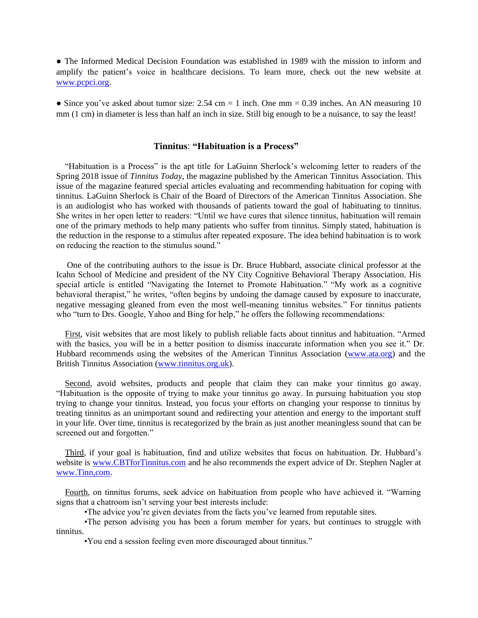• The Informed Medical Decision Foundation was established in 1989 with the mission to inform and amplify the patient's voice in healthcare decisions. To learn more, check out the new website at [www.pcpci.org.](http://www.pcpci.org/)

• Since you've asked about tumor size:  $2.54 \text{ cm} = 1$  inch. One mm = 0.39 inches. An AN measuring 10 mm (1 cm) in diameter is less than half an inch in size. Still big enough to be a nuisance, to say the least!

#### **Tinnitus**: **"Habituation is a Process"**

 "Habituation is a Process" is the apt title for LaGuinn Sherlock's welcoming letter to readers of the Spring 2018 issue of *Tinnitus Today*, the magazine published by the American Tinnitus Association. This issue of the magazine featured special articles evaluating and recommending habituation for coping with tinnitus. LaGuinn Sherlock is Chair of the Board of Directors of the American Tinnitus Association. She is an audiologist who has worked with thousands of patients toward the goal of habituating to tinnitus. She writes in her open letter to readers: "Until we have cures that silence tinnitus, habituation will remain one of the primary methods to help many patients who suffer from tinnitus. Simply stated, habituation is the reduction in the response to a stimulus after repeated exposure. The idea behind habituation is to work on reducing the reaction to the stimulus sound."

 One of the contributing authors to the issue is Dr. Bruce Hubbard, associate clinical professor at the Icahn School of Medicine and president of the NY City Cognitive Behavioral Therapy Association. His special article is entitled "Navigating the Internet to Promote Habituation." "My work as a cognitive behavioral therapist," he writes, "often begins by undoing the damage caused by exposure to inaccurate, negative messaging gleaned from even the most well-meaning tinnitus websites." For tinnitus patients who "turn to Drs. Google, Yahoo and Bing for help," he offers the following recommendations:

 First, visit websites that are most likely to publish reliable facts about tinnitus and habituation. "Armed with the basics, you will be in a better position to dismiss inaccurate information when you see it." Dr. Hubbard recommends using the websites of the American Tinnitus Association [\(www.ata.org\)](http://www.ata.org/) and the British Tinnitus Association [\(www.tinnitus.org.uk\)](http://www.tinnitus.org.uk/).

 Second, avoid websites, products and people that claim they can make your tinnitus go away. "Habituation is the opposite of trying to make your tinnitus go away. In pursuing habituation you stop trying to change your tinnitus. Instead, you focus your efforts on changing your response to tinnitus by treating tinnitus as an unimportant sound and redirecting your attention and energy to the important stuff in your life. Over time, tinnitus is recategorized by the brain as just another meaningless sound that can be screened out and forgotten."

 Third, if your goal is habituation, find and utilize websites that focus on habituation. Dr. Hubbard's website is [www.CBTforTinnitus.com](http://www.cbtfortinnitus.com/) and he also recommends the expert advice of Dr. Stephen Nagler at [www.Tinn,com.](http://www.tinn,com/)

 Fourth, on tinnitus forums, seek advice on habituation from people who have achieved it. "Warning signs that a chatroom isn't serving your best interests include:

•The advice you're given deviates from the facts you've learned from reputable sites.

•The person advising you has been a forum member for years, but continues to struggle with tinnitus.

•You end a session feeling even more discouraged about tinnitus."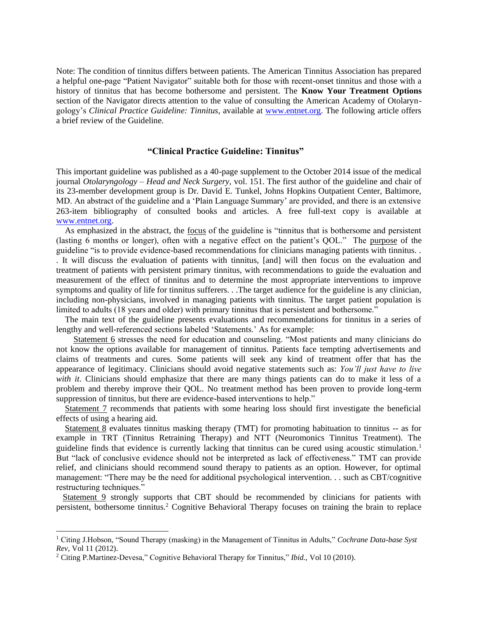Note: The condition of tinnitus differs between patients. The American Tinnitus Association has prepared a helpful one-page "Patient Navigator" suitable both for those with recent-onset tinnitus and those with a history of tinnitus that has become bothersome and persistent. The **Know Your Treatment Options** section of the Navigator directs attention to the value of consulting the American Academy of Otolaryngology's *Clinical Practice Guideline: Tinnitus*, available at [www.entnet.org.](http://www.entnet.org/) The following article offers a brief review of the Guideline.

#### **"Clinical Practice Guideline: Tinnitus"**

This important guideline was published as a 40-page supplement to the October 2014 issue of the medical journal *Otolaryngology – Head and Neck Surgery,* vol. 151. The first author of the guideline and chair of its 23-member development group is Dr. David E. Tunkel, Johns Hopkins Outpatient Center, Baltimore, MD. An abstract of the guideline and a 'Plain Language Summary' are provided, and there is an extensive 263-item bibliography of consulted books and articles. A free full-text copy is available at [www.entnet.org.](http://www.entnet.org/)

As emphasized in the abstract, the <u>focus</u> of the guideline is "tinnitus that is bothersome and persistent (lasting 6 months or longer), often with a negative effect on the patient's QOL." The purpose of the guideline "is to provide evidence-based recommendations for clinicians managing patients with tinnitus. . . It will discuss the evaluation of patients with tinnitus, [and] will then focus on the evaluation and treatment of patients with persistent primary tinnitus, with recommendations to guide the evaluation and measurement of the effect of tinnitus and to determine the most appropriate interventions to improve symptoms and quality of life for tinnitus sufferers. . .The target audience for the guideline is any clinician, including non-physicians, involved in managing patients with tinnitus. The target patient population is limited to adults (18 years and older) with primary tinnitus that is persistent and bothersome."

 The main text of the guideline presents evaluations and recommendations for tinnitus in a series of lengthy and well-referenced sections labeled 'Statements.' As for example:

 Statement 6 stresses the need for education and counseling. "Most patients and many clinicians do not know the options available for management of tinnitus. Patients face tempting advertisements and claims of treatments and cures. Some patients will seek any kind of treatment offer that has the appearance of legitimacy. Clinicians should avoid negative statements such as: *You'll just have to live with it*. Clinicians should emphasize that there are many things patients can do to make it less of a problem and thereby improve their QOL. No treatment method has been proven to provide long-term suppression of tinnitus, but there are evidence-based interventions to help."

 Statement 7 recommends that patients with some hearing loss should first investigate the beneficial effects of using a hearing aid.

 Statement 8 evaluates tinnitus masking therapy (TMT) for promoting habituation to tinnitus -- as for example in TRT (Tinnitus Retraining Therapy) and NTT (Neuromonics Tinnitus Treatment). The guideline finds that evidence is currently lacking that tinnitus can be cured using acoustic stimulation.<sup>1</sup> But "lack of conclusive evidence should not be interpreted as lack of effectiveness." TMT can provide relief, and clinicians should recommend sound therapy to patients as an option. However, for optimal management: "There may be the need for additional psychological intervention. . . such as CBT/cognitive restructuring techniques."

Statement 9 strongly supports that CBT should be recommended by clinicians for patients with persistent, bothersome tinnitus.<sup>2</sup> Cognitive Behavioral Therapy focuses on training the brain to replace

<sup>1</sup> Citing J.Hobson, "Sound Therapy (masking) in the Management of Tinnitus in Adults," *Cochrane Data-base Syst Rev*, Vol 11 (2012).

<sup>2</sup> Citing P.Martinez-Devesa," Cognitive Behavioral Therapy for Tinnitus," *Ibid.,* Vol 10 (2010).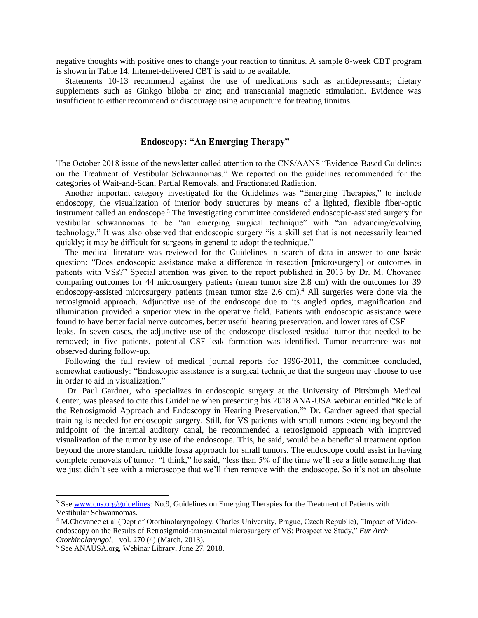negative thoughts with positive ones to change your reaction to tinnitus. A sample 8-week CBT program is shown in Table 14. Internet-delivered CBT is said to be available.

Statements 10-13 recommend against the use of medications such as antidepressants; dietary supplements such as Ginkgo biloba or zinc; and transcranial magnetic stimulation. Evidence was insufficient to either recommend or discourage using acupuncture for treating tinnitus.

### **Endoscopy: "An Emerging Therapy"**

The October 2018 issue of the newsletter called attention to the CNS/AANS "Evidence-Based Guidelines on the Treatment of Vestibular Schwannomas." We reported on the guidelines recommended for the categories of Wait-and-Scan, Partial Removals, and Fractionated Radiation.

 Another important category investigated for the Guidelines was "Emerging Therapies," to include endoscopy, the visualization of interior body structures by means of a lighted, flexible fiber-optic instrument called an endoscope.<sup>3</sup> The investigating committee considered endoscopic-assisted surgery for vestibular schwannomas to be "an emerging surgical technique" with "an advancing/evolving technology." It was also observed that endoscopic surgery "is a skill set that is not necessarily learned quickly; it may be difficult for surgeons in general to adopt the technique."

 The medical literature was reviewed for the Guidelines in search of data in answer to one basic question: "Does endoscopic assistance make a difference in resection [microsurgery] or outcomes in patients with VSs?" Special attention was given to the report published in 2013 by Dr. M. Chovanec comparing outcomes for 44 microsurgery patients (mean tumor size 2.8 cm) with the outcomes for 39 endoscopy-assisted microsurgery patients (mean tumor size  $2.6 \text{ cm}$ ).<sup>4</sup> All surgeries were done via the retrosigmoid approach. Adjunctive use of the endoscope due to its angled optics, magnification and illumination provided a superior view in the operative field. Patients with endoscopic assistance were found to have better facial nerve outcomes, better useful hearing preservation, and lower rates of CSF

leaks. In seven cases, the adjunctive use of the endoscope disclosed residual tumor that needed to be removed; in five patients, potential CSF leak formation was identified. Tumor recurrence was not observed during follow-up.

 Following the full review of medical journal reports for 1996-2011, the committee concluded, somewhat cautiously: "Endoscopic assistance is a surgical technique that the surgeon may choose to use in order to aid in visualization."

 Dr. Paul Gardner, who specializes in endoscopic surgery at the University of Pittsburgh Medical Center, was pleased to cite this Guideline when presenting his 2018 ANA-USA webinar entitled "Role of the Retrosigmoid Approach and Endoscopy in Hearing Preservation."<sup>5</sup> Dr. Gardner agreed that special training is needed for endoscopic surgery. Still, for VS patients with small tumors extending beyond the midpoint of the internal auditory canal, he recommended a retrosigmoid approach with improved visualization of the tumor by use of the endoscope. This, he said, would be a beneficial treatment option beyond the more standard middle fossa approach for small tumors. The endoscope could assist in having complete removals of tumor. "I think," he said, "less than 5% of the time we'll see a little something that we just didn't see with a microscope that we'll then remove with the endoscope. So it's not an absolute

<sup>3</sup> Se[e www.cns.org/guidelines:](http://www.cns.org/guidelines) No.9, Guidelines on Emerging Therapies for the Treatment of Patients with Vestibular Schwannomas.

<sup>4</sup> M.Chovanec et al (Dept of Otorhinolaryngology, Charles University, Prague, Czech Republic), "Impact of Videoendoscopy on the Results of Retrosigmoid-transmeatal microsurgery of VS: Prospective Study," *Eur Arch Otorhinolaryngol*, vol. 270 (4) (March, 2013).

<sup>5</sup> See ANAUSA.org, Webinar Library, June 27, 2018.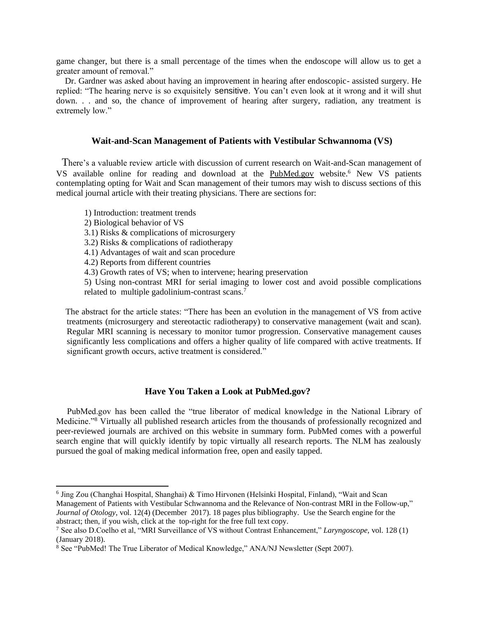game changer, but there is a small percentage of the times when the endoscope will allow us to get a greater amount of removal."

 Dr. Gardner was asked about having an improvement in hearing after endoscopic- assisted surgery. He replied: "The hearing nerve is so exquisitely sensitive. You can't even look at it wrong and it will shut down. . . and so, the chance of improvement of hearing after surgery, radiation, any treatment is extremely low."

#### **Wait-and-Scan Management of Patients with Vestibular Schwannoma (VS)**

 There's a valuable review article with discussion of current research on Wait-and-Scan management of VS available online for reading and download at the PubMed.gov website.<sup>6</sup> New VS patients contemplating opting for Wait and Scan management of their tumors may wish to discuss sections of this medical journal article with their treating physicians. There are sections for:

1) Introduction: treatment trends

2) Biological behavior of VS

3.1) Risks & complications of microsurgery

3.2) Risks & complications of radiotherapy

4.1) Advantages of wait and scan procedure

4.2) Reports from different countries

4.3) Growth rates of VS; when to intervene; hearing preservation

5) Using non-contrast MRI for serial imaging to lower cost and avoid possible complications related to multiple gadolinium-contrast scans.<sup>7</sup>

 The abstract for the article states: "There has been an evolution in the management of VS from active treatments (microsurgery and stereotactic radiotherapy) to conservative management (wait and scan). Regular MRI scanning is necessary to monitor tumor progression. Conservative management causes significantly less complications and offers a higher quality of life compared with active treatments. If significant growth occurs, active treatment is considered."

#### **Have You Taken a Look at PubMed.gov?**

 PubMed.gov has been called the "true liberator of medical knowledge in the National Library of Medicine."<sup>8</sup> Virtually all published research articles from the thousands of professionally recognized and peer-reviewed journals are archived on this website in summary form. PubMed comes with a powerful search engine that will quickly identify by topic virtually all research reports. The NLM has zealously pursued the goal of making medical information free, open and easily tapped.

<sup>&</sup>lt;sup>6</sup> Jing Zou (Changhai Hospital, Shanghai) & Timo Hirvonen (Helsinki Hospital, Finland), "Wait and Scan Management of Patients with Vestibular Schwannoma and the Relevance of Non-contrast MRI in the Follow-up," *Journal of Otology*, vol. 12(4) (December 2017). 18 pages plus bibliography. Use the Search engine for the abstract; then, if you wish, click at the top-right for the free full text copy.

<sup>7</sup> See also D.Coelho et al, "MRI Surveillance of VS without Contrast Enhancement," *Laryngoscope,* vol. 128 (1) (January 2018).

<sup>8</sup> See "PubMed! The True Liberator of Medical Knowledge," ANA/NJ Newsletter (Sept 2007).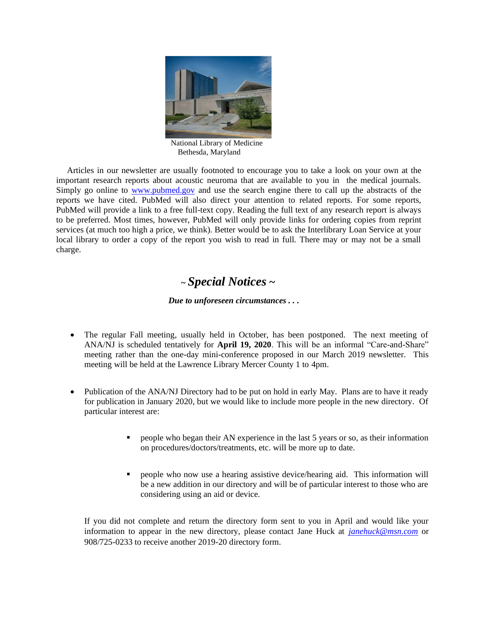

 National Library of Medicine Bethesda, Maryland

 Articles in our newsletter are usually footnoted to encourage you to take a look on your own at the important research reports about acoustic neuroma that are available to you in the medical journals. Simply go online to [www.pubmed.gov](http://www.pubmed.gov/) and use the search engine there to call up the abstracts of the reports we have cited. PubMed will also direct your attention to related reports. For some reports, PubMed will provide a link to a free full-text copy. Reading the full text of any research report is always to be preferred. Most times, however, PubMed will only provide links for ordering copies from reprint services (at much too high a price, we think). Better would be to ask the Interlibrary Loan Service at your local library to order a copy of the report you wish to read in full. There may or may not be a small charge.

# *<sup>~</sup>Special Notices* **~**

## *Due to unforeseen circumstances . . .*

- The regular Fall meeting, usually held in October, has been postponed. The next meeting of ANA/NJ is scheduled tentatively for **April 19, 2020**. This will be an informal "Care-and-Share" meeting rather than the one-day mini-conference proposed in our March 2019 newsletter. This meeting will be held at the Lawrence Library Mercer County 1 to 4pm.
- Publication of the ANA/NJ Directory had to be put on hold in early May. Plans are to have it ready for publication in January 2020, but we would like to include more people in the new directory. Of particular interest are:
	- people who began their AN experience in the last 5 years or so, as their information on procedures/doctors/treatments, etc. will be more up to date.
	- people who now use a hearing assistive device/hearing aid. This information will be a new addition in our directory and will be of particular interest to those who are considering using an aid or device.

If you did not complete and return the directory form sent to you in April and would like your information to appear in the new directory, please contact Jane Huck at *[janehuck@msn.com](mailto:janehuck@msn.com)* or 908/725-0233 to receive another 2019-20 directory form.